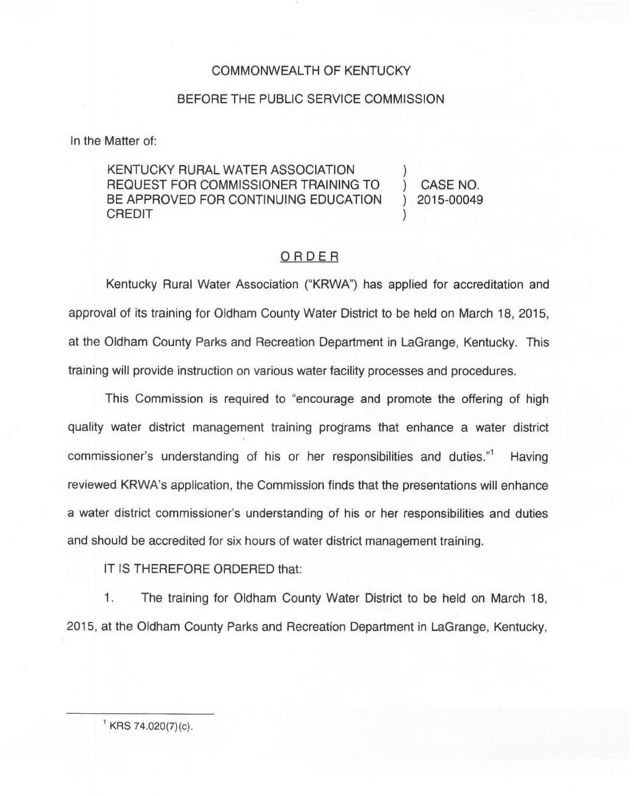## COMMONWEALTH OF KENTUCKY

## BEFORE THE PUBLIC SERVICE COMMISSION

In the Matter of:

KENTUCKY RURAL WATER ASSOCIATION REQUEST FOR COMMISSIONER TRAINING TO (CASE NO.<br>BE APPROVED FOR CONTINUING EDUCATION (2015-00049) BE APPROVED FOR CONTINUING EDUCATION<br>CREDIT CREDIT )

## ORDER

Kentucky Rural Water Association ("KRWA") has applied for accreditation and approval of its training for Oldham County Water District to be held on March 18, 2015, at the Oldham County Parks and Recreation Department in LaGrange, Kentucky. This training will provide instruction on various water facility processes and procedures.

This Commission is required to "encourage and promote the offering of high quality water district management training programs that enhance a water district commissioner's understanding of his or her responsibilities and duties. $11$  Having reviewed KRWA's application, the Commission finds that the presentations will enhance a water district commissioner's understanding of his or her responsibilities and duties and should be accredited for six hours of water district management training.

IT IS THEREFORE ORDERED that:

1. The training for Oldham County Water District to be held on March 18, 2015, at the Oldham County Parks and Recreation Department in LaGrange, Kentucky,

 $KRS$  74.020(7)(c).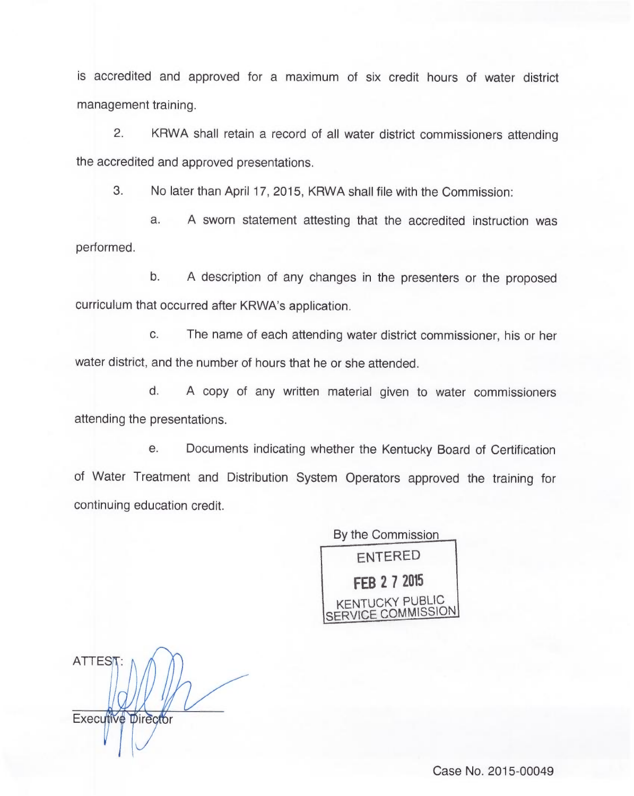is accredited and approved for a maximum of six credit hours of water district management training.

2. KRWA shall retain a record of all water district commissioners attending the accredited and approved presentations.

3. No later than April 17, 2015, KRWA shall file with the Commission:

a. <sup>A</sup> sworn statement attesting that the accredited instruction was performed.

b. A description of any changes in the presenters or the proposed curriculum that occurred after KRWA's application.

c. The name of each attending water district commissioner, his or her water district, and the number of hours that he or she attended.

d. A copy of any written material given to water commissioners attending the presentations.

e. Documents indicating whether the Kentucky Board of Certification of Water Treatment and Distribution System Operators approved the training for continuing education credit

By the Commission ENTERED **FEB 2 7 2015** KENTUCKY PUBLIC *ICE COMMISSION* 

ATTEST: Executive Director

Case No. 2015-00049